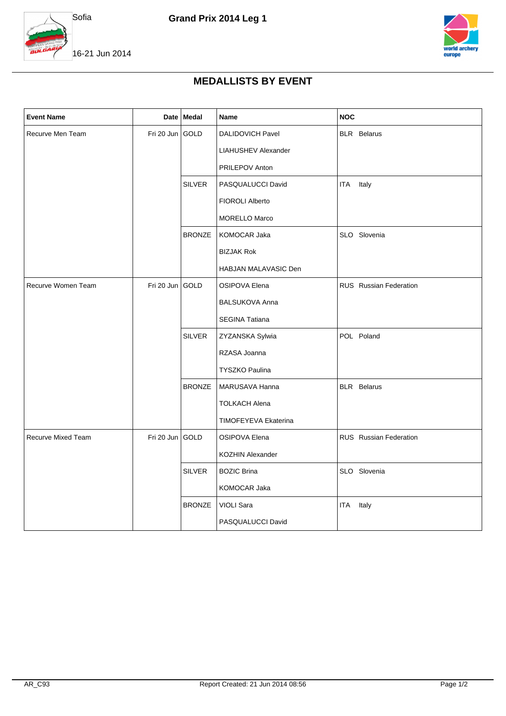



16-21 Jun 2014

## **MEDALLISTS BY EVENT**

| <b>Event Name</b>         |                 | Date Medal    | Name                       | <b>NOC</b>                    |
|---------------------------|-----------------|---------------|----------------------------|-------------------------------|
| Recurve Men Team          | Fri 20 Jun GOLD |               | DALIDOVICH Pavel           | <b>BLR</b> Belarus            |
|                           |                 |               | <b>LIAHUSHEV Alexander</b> |                               |
|                           |                 |               | PRILEPOV Anton             |                               |
|                           |                 | <b>SILVER</b> | PASQUALUCCI David          | <b>ITA</b><br>Italy           |
|                           |                 |               | FIOROLI Alberto            |                               |
|                           |                 |               | <b>MORELLO Marco</b>       |                               |
|                           |                 | <b>BRONZE</b> | KOMOCAR Jaka               | SLO Slovenia                  |
|                           |                 |               | <b>BIZJAK Rok</b>          |                               |
|                           |                 |               | HABJAN MALAVASIC Den       |                               |
| Recurve Women Team        | Fri 20 Jun      | GOLD          | <b>OSIPOVA Elena</b>       | <b>RUS</b> Russian Federation |
|                           |                 |               | <b>BALSUKOVA Anna</b>      |                               |
|                           |                 |               | SEGINA Tatiana             |                               |
|                           |                 | <b>SILVER</b> | ZYZANSKA Sylwia            | POL Poland                    |
|                           |                 |               | RZASA Joanna               |                               |
|                           |                 |               | <b>TYSZKO Paulina</b>      |                               |
|                           |                 | <b>BRONZE</b> | MARUSAVA Hanna             | <b>BLR</b> Belarus            |
|                           |                 |               | <b>TOLKACH Alena</b>       |                               |
|                           |                 |               | TIMOFEYEVA Ekaterina       |                               |
| <b>Recurve Mixed Team</b> | Fri 20 Jun GOLD |               | <b>OSIPOVA Elena</b>       | <b>RUS</b> Russian Federation |
|                           |                 |               | <b>KOZHIN Alexander</b>    |                               |
|                           |                 | <b>SILVER</b> | <b>BOZIC Brina</b>         | SLO Slovenia                  |
|                           |                 |               | KOMOCAR Jaka               |                               |
|                           |                 | <b>BRONZE</b> | <b>VIOLI Sara</b>          | Italy<br>ITA                  |
|                           |                 |               | PASQUALUCCI David          |                               |